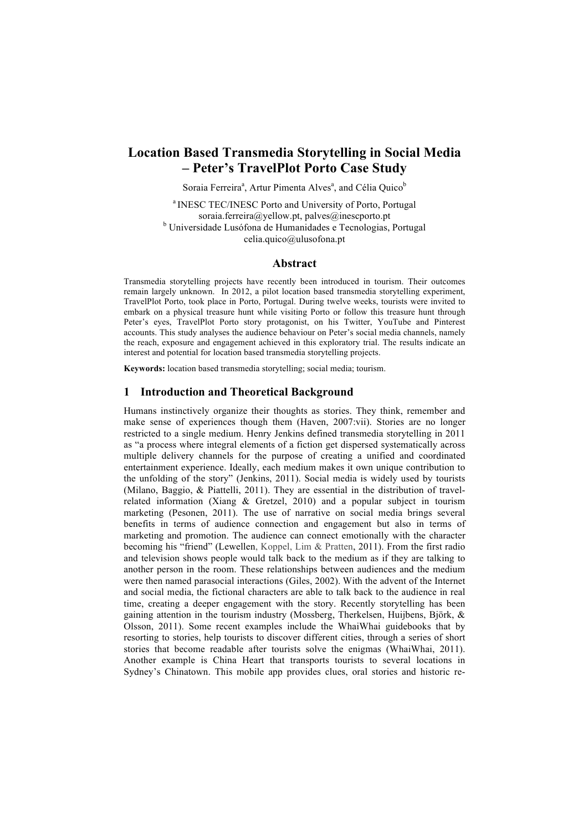# **Location Based Transmedia Storytelling in Social Media – Peter's TravelPlot Porto Case Study**

Soraia Ferreira<sup>a</sup>, Artur Pimenta Alves<sup>a</sup>, and Célia Quico<sup>b</sup>

<sup>a</sup> INESC TEC/INESC Porto and University of Porto, Portugal soraia.ferreira@yellow.pt. palves@inescporto.pt <sup>b</sup> Universidade Lusófona de Humanidades e Tecnologias, Portugal celia.quico@ulusofona.pt

#### **Abstract**

Transmedia storytelling projects have recently been introduced in tourism. Their outcomes remain largely unknown. In 2012, a pilot location based transmedia storytelling experiment, TravelPlot Porto, took place in Porto, Portugal. During twelve weeks, tourists were invited to embark on a physical treasure hunt while visiting Porto or follow this treasure hunt through Peter's eyes, TravelPlot Porto story protagonist, on his Twitter, YouTube and Pinterest accounts. This study analyses the audience behaviour on Peter's social media channels, namely the reach, exposure and engagement achieved in this exploratory trial. The results indicate an interest and potential for location based transmedia storytelling projects.

**Keywords:** location based transmedia storytelling; social media; tourism.

#### **1 Introduction and Theoretical Background**

Humans instinctively organize their thoughts as stories. They think, remember and make sense of experiences though them (Haven, 2007:vii). Stories are no longer restricted to a single medium. Henry Jenkins defined transmedia storytelling in 2011 as "a process where integral elements of a fiction get dispersed systematically across multiple delivery channels for the purpose of creating a unified and coordinated entertainment experience. Ideally, each medium makes it own unique contribution to the unfolding of the story" (Jenkins, 2011). Social media is widely used by tourists (Milano, Baggio, & Piattelli, 2011). They are essential in the distribution of travelrelated information (Xiang & Gretzel, 2010) and a popular subject in tourism marketing (Pesonen, 2011). The use of narrative on social media brings several benefits in terms of audience connection and engagement but also in terms of marketing and promotion. The audience can connect emotionally with the character becoming his "friend" (Lewellen, Koppel, Lim & Pratten, 2011). From the first radio and television shows people would talk back to the medium as if they are talking to another person in the room. These relationships between audiences and the medium were then named parasocial interactions (Giles, 2002). With the advent of the Internet and social media, the fictional characters are able to talk back to the audience in real time, creating a deeper engagement with the story. Recently storytelling has been gaining attention in the tourism industry (Mossberg, Therkelsen, Huijbens, Björk, & Olsson, 2011). Some recent examples include the WhaiWhai guidebooks that by resorting to stories, help tourists to discover different cities, through a series of short stories that become readable after tourists solve the enigmas (WhaiWhai, 2011). Another example is China Heart that transports tourists to several locations in Sydney's Chinatown. This mobile app provides clues, oral stories and historic re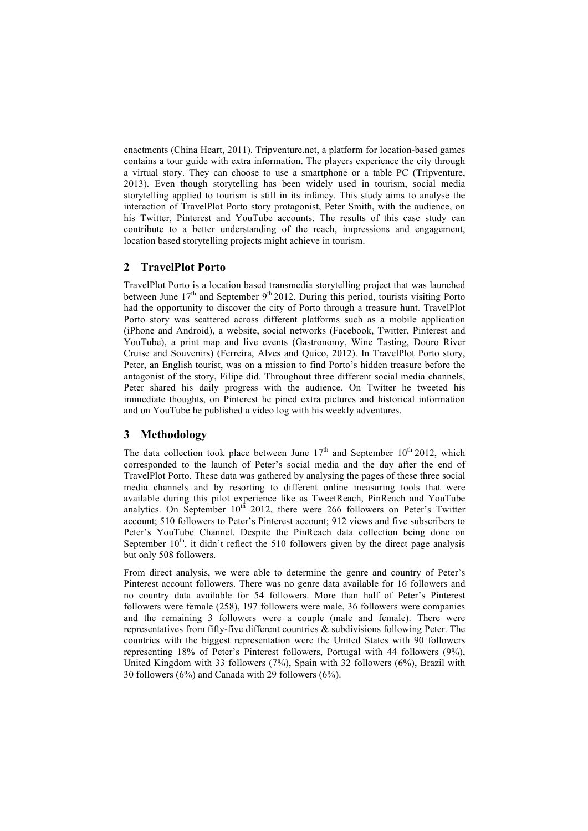enactments (China Heart, 2011). Tripventure.net, a platform for location-based games contains a tour guide with extra information. The players experience the city through a virtual story. They can choose to use a smartphone or a table PC (Tripventure, 2013). Even though storytelling has been widely used in tourism, social media storytelling applied to tourism is still in its infancy. This study aims to analyse the interaction of TravelPlot Porto story protagonist, Peter Smith, with the audience, on his Twitter, Pinterest and YouTube accounts. The results of this case study can contribute to a better understanding of the reach, impressions and engagement, location based storytelling projects might achieve in tourism.

## **2 TravelPlot Porto**

TravelPlot Porto is a location based transmedia storytelling project that was launched between June  $17<sup>th</sup>$  and September  $9<sup>th</sup> 2012$ . During this period, tourists visiting Porto had the opportunity to discover the city of Porto through a treasure hunt. TravelPlot Porto story was scattered across different platforms such as a mobile application (iPhone and Android), a website, social networks (Facebook, Twitter, Pinterest and YouTube), a print map and live events (Gastronomy, Wine Tasting, Douro River Cruise and Souvenirs) (Ferreira, Alves and Quico, 2012). In TravelPlot Porto story, Peter, an English tourist, was on a mission to find Porto's hidden treasure before the antagonist of the story, Filipe did. Throughout three different social media channels, Peter shared his daily progress with the audience. On Twitter he tweeted his immediate thoughts, on Pinterest he pined extra pictures and historical information and on YouTube he published a video log with his weekly adventures.

## **3 Methodology**

The data collection took place between June  $17<sup>th</sup>$  and September  $10<sup>th</sup>$  2012, which corresponded to the launch of Peter's social media and the day after the end of TravelPlot Porto. These data was gathered by analysing the pages of these three social media channels and by resorting to different online measuring tools that were available during this pilot experience like as TweetReach, PinReach and YouTube analytics. On September  $10^{th}$  2012, there were 266 followers on Peter's Twitter account; 510 followers to Peter's Pinterest account; 912 views and five subscribers to Peter's YouTube Channel. Despite the PinReach data collection being done on September  $10<sup>th</sup>$ , it didn't reflect the 510 followers given by the direct page analysis but only 508 followers.

From direct analysis, we were able to determine the genre and country of Peter's Pinterest account followers. There was no genre data available for 16 followers and no country data available for 54 followers. More than half of Peter's Pinterest followers were female (258), 197 followers were male, 36 followers were companies and the remaining 3 followers were a couple (male and female). There were representatives from fifty-five different countries & subdivisions following Peter. The countries with the biggest representation were the United States with 90 followers representing 18% of Peter's Pinterest followers, Portugal with 44 followers (9%), United Kingdom with 33 followers (7%), Spain with 32 followers (6%), Brazil with 30 followers (6%) and Canada with 29 followers (6%).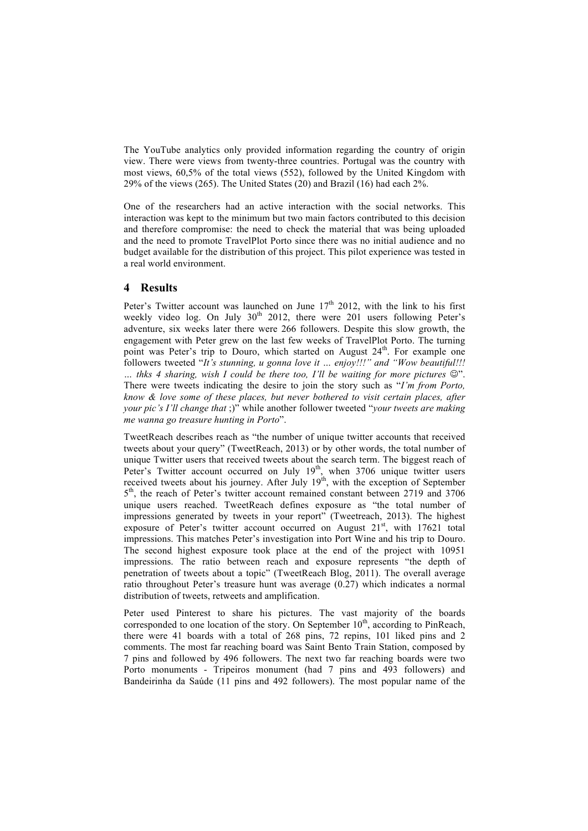The YouTube analytics only provided information regarding the country of origin view. There were views from twenty-three countries. Portugal was the country with most views, 60,5% of the total views (552), followed by the United Kingdom with 29% of the views (265). The United States (20) and Brazil (16) had each 2%.

One of the researchers had an active interaction with the social networks. This interaction was kept to the minimum but two main factors contributed to this decision and therefore compromise: the need to check the material that was being uploaded and the need to promote TravelPlot Porto since there was no initial audience and no budget available for the distribution of this project. This pilot experience was tested in a real world environment.

### **4 Results**

Peter's Twitter account was launched on June  $17<sup>th</sup>$  2012, with the link to his first weekly video log. On July  $30<sup>th</sup>$  2012, there were 201 users following Peter's adventure, six weeks later there were 266 followers. Despite this slow growth, the engagement with Peter grew on the last few weeks of TravelPlot Porto. The turning point was Peter's trip to Douro, which started on August  $24<sup>th</sup>$ . For example one followers tweeted "*It's stunning, u gonna love it … enjoy!!!" and "Wow beautiful!!!*  … thks 4 sharing, wish *I* could be there too, *I'll be waiting for more pictures* ☺". There were tweets indicating the desire to join the story such as "*I'm from Porto, know & love some of these places, but never bothered to visit certain places, after your pic's I'll change that* ;)" while another follower tweeted "*your tweets are making me wanna go treasure hunting in Porto*".

TweetReach describes reach as "the number of unique twitter accounts that received tweets about your query" (TweetReach, 2013) or by other words, the total number of unique Twitter users that received tweets about the search term. The biggest reach of Peter's Twitter account occurred on July  $19<sup>th</sup>$ , when 3706 unique twitter users received tweets about his journey. After July  $19<sup>th</sup>$ , with the exception of September 5<sup>th</sup>, the reach of Peter's twitter account remained constant between 2719 and 3706 unique users reached. TweetReach defines exposure as "the total number of impressions generated by tweets in your report" (Tweetreach, 2013). The highest exposure of Peter's twitter account occurred on August  $21<sup>st</sup>$ , with 17621 total impressions. This matches Peter's investigation into Port Wine and his trip to Douro. The second highest exposure took place at the end of the project with 10951 impressions. The ratio between reach and exposure represents "the depth of penetration of tweets about a topic" (TweetReach Blog, 2011). The overall average ratio throughout Peter's treasure hunt was average (0.27) which indicates a normal distribution of tweets, retweets and amplification.

Peter used Pinterest to share his pictures. The vast majority of the boards corresponded to one location of the story. On September  $10<sup>th</sup>$ , according to PinReach, there were 41 boards with a total of 268 pins, 72 repins, 101 liked pins and 2 comments. The most far reaching board was Saint Bento Train Station, composed by 7 pins and followed by 496 followers. The next two far reaching boards were two Porto monuments - Tripeiros monument (had 7 pins and 493 followers) and Bandeirinha da Saúde (11 pins and 492 followers). The most popular name of the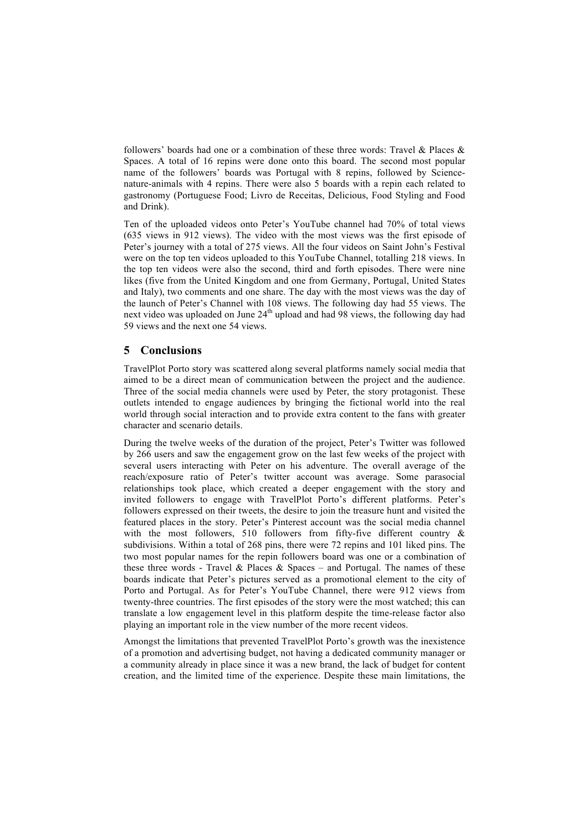followers' boards had one or a combination of these three words: Travel & Places & Spaces. A total of 16 repins were done onto this board. The second most popular name of the followers' boards was Portugal with 8 repins, followed by Sciencenature-animals with 4 repins. There were also 5 boards with a repin each related to gastronomy (Portuguese Food; Livro de Receitas, Delicious, Food Styling and Food and Drink).

Ten of the uploaded videos onto Peter's YouTube channel had 70% of total views (635 views in 912 views). The video with the most views was the first episode of Peter's journey with a total of 275 views. All the four videos on Saint John's Festival were on the top ten videos uploaded to this YouTube Channel, totalling 218 views. In the top ten videos were also the second, third and forth episodes. There were nine likes (five from the United Kingdom and one from Germany, Portugal, United States and Italy), two comments and one share. The day with the most views was the day of the launch of Peter's Channel with 108 views. The following day had 55 views. The next video was uploaded on June 24<sup>th</sup> upload and had 98 views, the following day had 59 views and the next one 54 views.

### **5 Conclusions**

TravelPlot Porto story was scattered along several platforms namely social media that aimed to be a direct mean of communication between the project and the audience. Three of the social media channels were used by Peter, the story protagonist. These outlets intended to engage audiences by bringing the fictional world into the real world through social interaction and to provide extra content to the fans with greater character and scenario details.

During the twelve weeks of the duration of the project, Peter's Twitter was followed by 266 users and saw the engagement grow on the last few weeks of the project with several users interacting with Peter on his adventure. The overall average of the reach/exposure ratio of Peter's twitter account was average. Some parasocial relationships took place, which created a deeper engagement with the story and invited followers to engage with TravelPlot Porto's different platforms. Peter's followers expressed on their tweets, the desire to join the treasure hunt and visited the featured places in the story. Peter's Pinterest account was the social media channel with the most followers, 510 followers from fifty-five different country & subdivisions. Within a total of 268 pins, there were 72 repins and 101 liked pins. The two most popular names for the repin followers board was one or a combination of these three words - Travel & Places & Spaces – and Portugal. The names of these boards indicate that Peter's pictures served as a promotional element to the city of Porto and Portugal. As for Peter's YouTube Channel, there were 912 views from twenty-three countries. The first episodes of the story were the most watched; this can translate a low engagement level in this platform despite the time-release factor also playing an important role in the view number of the more recent videos.

Amongst the limitations that prevented TravelPlot Porto's growth was the inexistence of a promotion and advertising budget, not having a dedicated community manager or a community already in place since it was a new brand, the lack of budget for content creation, and the limited time of the experience. Despite these main limitations, the